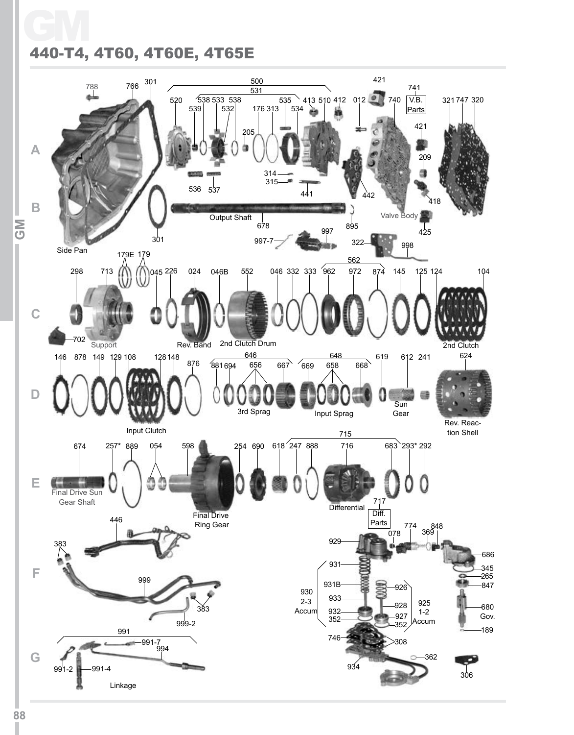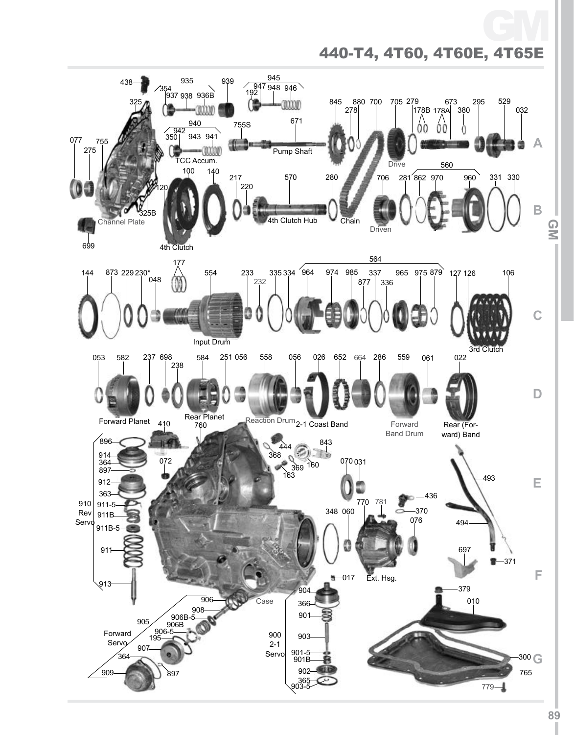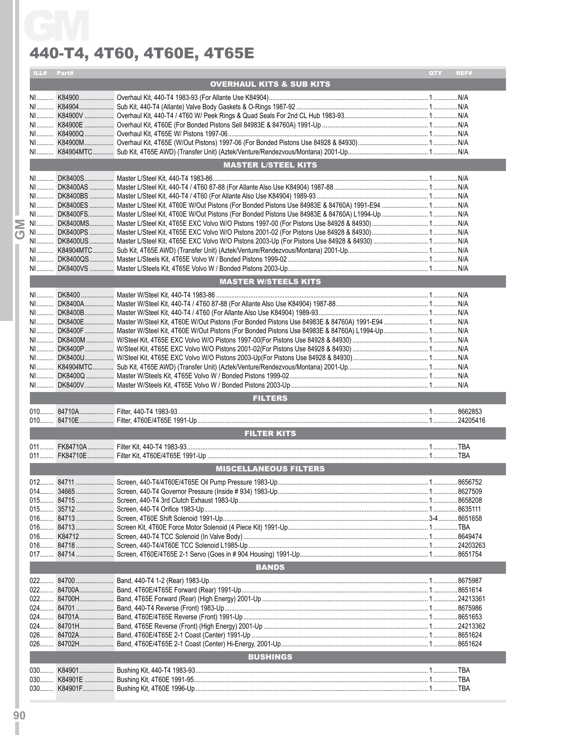| ILL# Part# |                                                                                                                  |     | REF# |
|------------|------------------------------------------------------------------------------------------------------------------|-----|------|
|            | <b>OVERHAUL KITS &amp; SUB KITS</b>                                                                              | QTY |      |
|            |                                                                                                                  |     |      |
|            |                                                                                                                  |     |      |
|            |                                                                                                                  |     |      |
|            |                                                                                                                  |     |      |
|            |                                                                                                                  |     |      |
|            |                                                                                                                  |     |      |
|            |                                                                                                                  |     |      |
|            | <b>MASTER L/STEEL KITS</b>                                                                                       |     |      |
|            |                                                                                                                  |     |      |
|            |                                                                                                                  |     |      |
|            |                                                                                                                  |     |      |
|            |                                                                                                                  |     |      |
|            |                                                                                                                  |     |      |
|            |                                                                                                                  |     |      |
|            |                                                                                                                  |     |      |
|            |                                                                                                                  |     |      |
|            |                                                                                                                  |     |      |
|            |                                                                                                                  |     |      |
|            |                                                                                                                  |     |      |
|            | <b>MASTER W/STEELS KITS</b>                                                                                      |     |      |
|            |                                                                                                                  |     |      |
|            |                                                                                                                  |     |      |
|            |                                                                                                                  |     |      |
|            |                                                                                                                  |     |      |
|            |                                                                                                                  |     |      |
|            |                                                                                                                  |     |      |
|            |                                                                                                                  |     |      |
|            |                                                                                                                  |     |      |
|            | NI……… DK8400Q …………… Master W/Steels Kit, 4T65E Volvo W / Bonded Pistons 1999-02………………………………………………………………………………N/A |     |      |
|            |                                                                                                                  |     |      |
|            | <b>FILTERS</b>                                                                                                   |     |      |
|            |                                                                                                                  |     |      |
|            |                                                                                                                  |     |      |
|            | <b>FILTER KITS</b>                                                                                               |     |      |
|            |                                                                                                                  |     |      |
|            |                                                                                                                  |     |      |
|            | <b>MISCELLANEOUS FILTERS</b>                                                                                     |     |      |
|            |                                                                                                                  |     |      |
|            |                                                                                                                  |     |      |
|            |                                                                                                                  |     |      |
|            |                                                                                                                  |     |      |
|            |                                                                                                                  |     |      |
|            |                                                                                                                  |     |      |
|            |                                                                                                                  |     |      |
|            |                                                                                                                  |     |      |
|            |                                                                                                                  |     |      |
|            | <b>BANDS</b>                                                                                                     |     |      |
|            |                                                                                                                  |     |      |
|            |                                                                                                                  |     |      |
|            |                                                                                                                  |     |      |
|            |                                                                                                                  |     |      |
|            |                                                                                                                  |     |      |
|            |                                                                                                                  |     |      |
|            |                                                                                                                  |     |      |
|            |                                                                                                                  |     |      |
|            | <b>BUSHINGS</b>                                                                                                  |     |      |
|            |                                                                                                                  |     |      |
|            |                                                                                                                  |     |      |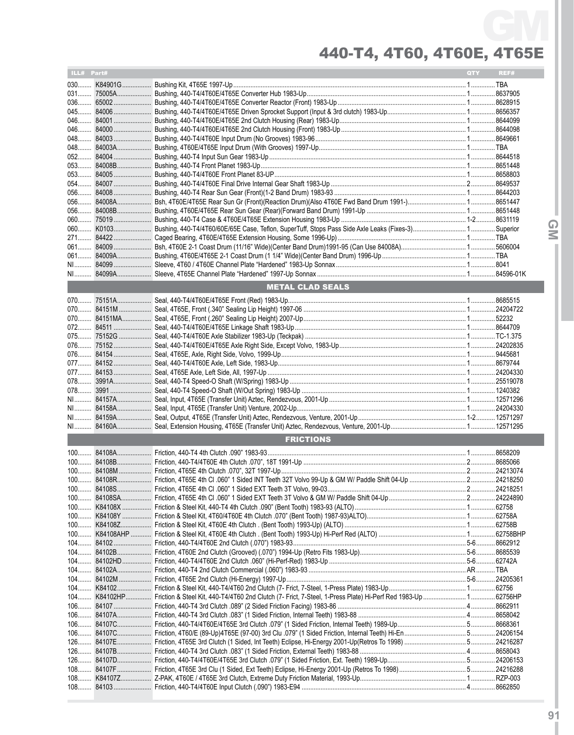| ILL# Part# |                         | QTY | REF# |
|------------|-------------------------|-----|------|
|            |                         |     |      |
|            |                         |     |      |
|            |                         |     |      |
|            |                         |     |      |
|            |                         |     |      |
|            |                         |     |      |
|            |                         |     |      |
|            |                         |     |      |
|            |                         |     |      |
|            |                         |     |      |
|            |                         |     |      |
|            |                         |     |      |
|            |                         |     |      |
|            |                         |     |      |
|            |                         |     |      |
|            |                         |     |      |
|            |                         |     |      |
|            |                         |     |      |
|            |                         |     |      |
|            |                         |     |      |
|            |                         |     |      |
|            | <b>METAL CLAD SEALS</b> |     |      |
|            |                         |     |      |
|            |                         |     |      |
|            |                         |     |      |
|            |                         |     |      |
|            |                         |     |      |
|            |                         |     |      |
|            |                         |     |      |
|            |                         |     |      |
|            |                         |     |      |
|            |                         |     |      |
|            |                         |     |      |
|            |                         |     |      |
|            |                         |     |      |
|            |                         |     |      |
|            |                         |     |      |
|            | <b>FRICTIONS</b>        |     |      |
|            |                         |     |      |
|            |                         |     |      |
|            |                         |     |      |
|            |                         |     |      |
|            |                         |     |      |
|            |                         |     |      |
|            |                         |     |      |
|            |                         |     |      |
|            |                         |     |      |
|            |                         |     |      |
|            |                         |     |      |
|            |                         |     |      |
|            |                         |     |      |
|            |                         |     |      |
|            |                         |     |      |
|            |                         |     |      |
|            |                         |     |      |
|            |                         |     |      |
|            |                         |     |      |
|            |                         |     |      |
|            |                         |     |      |
|            |                         |     |      |
|            |                         |     |      |
|            |                         |     |      |
|            |                         |     |      |
|            |                         |     |      |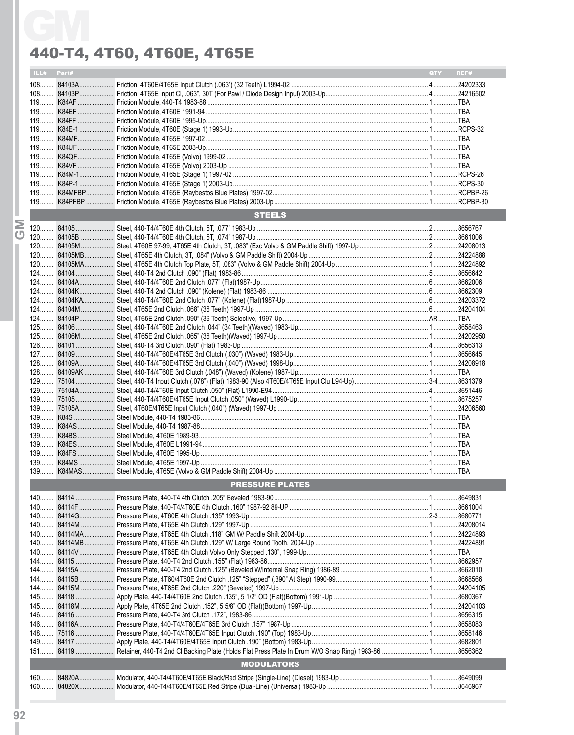|   | ILL# Part# |                        | QTY REF# |  |
|---|------------|------------------------|----------|--|
|   |            |                        |          |  |
|   |            |                        |          |  |
|   |            |                        |          |  |
|   |            |                        |          |  |
|   |            |                        |          |  |
|   |            |                        |          |  |
|   |            |                        |          |  |
|   |            |                        |          |  |
|   |            |                        |          |  |
|   |            |                        |          |  |
|   |            |                        |          |  |
|   |            |                        |          |  |
|   |            |                        |          |  |
|   |            | <b>STEELS</b>          |          |  |
| Σ |            |                        |          |  |
| ஶ |            |                        |          |  |
|   |            |                        |          |  |
|   |            |                        |          |  |
|   |            |                        |          |  |
|   |            |                        |          |  |
|   |            |                        |          |  |
|   |            |                        |          |  |
|   |            |                        |          |  |
|   |            |                        |          |  |
|   |            |                        |          |  |
|   |            |                        |          |  |
|   |            |                        |          |  |
|   |            |                        |          |  |
|   |            |                        |          |  |
|   |            |                        |          |  |
|   |            |                        |          |  |
|   |            |                        |          |  |
|   |            |                        |          |  |
|   |            |                        |          |  |
|   |            |                        |          |  |
|   |            |                        |          |  |
|   |            |                        |          |  |
|   |            |                        |          |  |
|   |            |                        |          |  |
|   |            |                        |          |  |
|   |            |                        |          |  |
|   |            | <b>PRESSURE PLATES</b> |          |  |
|   |            |                        |          |  |
|   |            |                        |          |  |
|   |            |                        |          |  |
|   |            |                        |          |  |
|   |            |                        |          |  |
|   |            |                        |          |  |
|   |            |                        |          |  |
|   |            |                        |          |  |
|   |            |                        |          |  |
|   |            |                        |          |  |
|   |            |                        |          |  |
|   |            |                        |          |  |
|   |            |                        |          |  |
|   |            |                        |          |  |
|   |            |                        |          |  |
|   |            |                        |          |  |
|   |            |                        |          |  |
|   |            | <b>MODULATORS</b>      |          |  |
|   |            |                        |          |  |
|   |            |                        |          |  |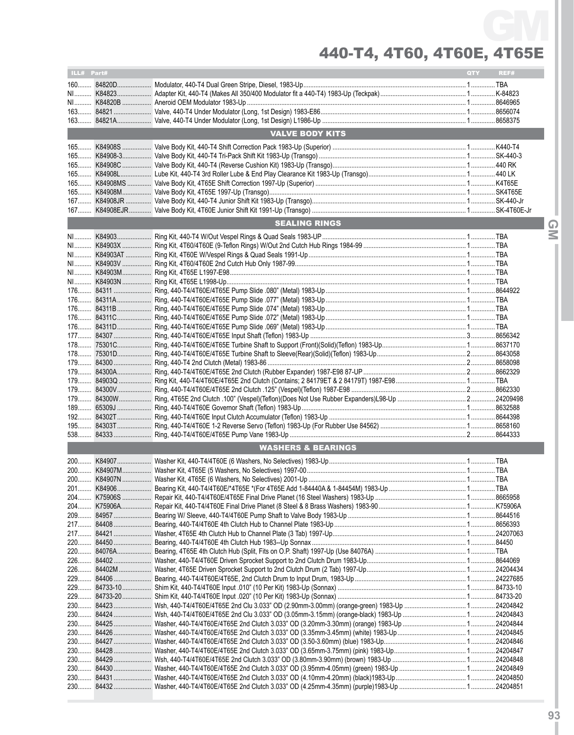| <b>VALVE BODY KITS</b><br><b>SEALING RINGS</b> |  |
|------------------------------------------------|--|
|                                                |  |
|                                                |  |
|                                                |  |
|                                                |  |
|                                                |  |
|                                                |  |
|                                                |  |
|                                                |  |
|                                                |  |
|                                                |  |
|                                                |  |
|                                                |  |
|                                                |  |
|                                                |  |
|                                                |  |
|                                                |  |
|                                                |  |
|                                                |  |
|                                                |  |
|                                                |  |
|                                                |  |
|                                                |  |
|                                                |  |
|                                                |  |
|                                                |  |
|                                                |  |
|                                                |  |
|                                                |  |
|                                                |  |
|                                                |  |
|                                                |  |
|                                                |  |
|                                                |  |
|                                                |  |
|                                                |  |
|                                                |  |
|                                                |  |
|                                                |  |
| <b>WASHERS &amp; BEARINGS</b>                  |  |
|                                                |  |
|                                                |  |
|                                                |  |
|                                                |  |
|                                                |  |
|                                                |  |
|                                                |  |
|                                                |  |
|                                                |  |
|                                                |  |
|                                                |  |
|                                                |  |
|                                                |  |
|                                                |  |
|                                                |  |
|                                                |  |
|                                                |  |
|                                                |  |
|                                                |  |
|                                                |  |
|                                                |  |
|                                                |  |
|                                                |  |
|                                                |  |
|                                                |  |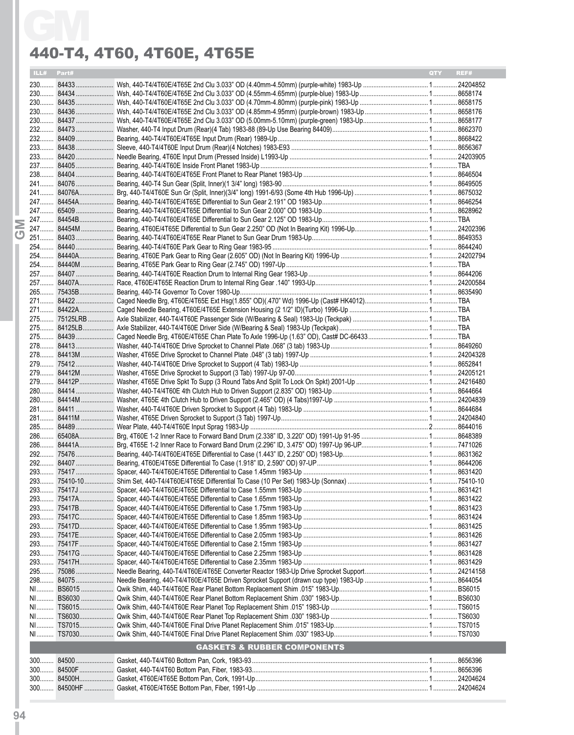|      | ILL# Part# |                                        | REF#<br><b>OTY</b> |
|------|------------|----------------------------------------|--------------------|
|      |            |                                        |                    |
|      |            |                                        |                    |
|      |            |                                        |                    |
|      |            |                                        |                    |
|      |            |                                        |                    |
|      |            |                                        |                    |
|      |            |                                        |                    |
|      |            |                                        |                    |
|      |            |                                        |                    |
|      |            |                                        |                    |
|      |            |                                        |                    |
|      |            |                                        |                    |
|      |            |                                        |                    |
|      |            |                                        |                    |
|      |            |                                        |                    |
|      |            |                                        |                    |
|      |            |                                        |                    |
|      |            |                                        |                    |
|      |            |                                        |                    |
|      |            |                                        |                    |
|      |            |                                        |                    |
|      |            |                                        |                    |
|      |            |                                        |                    |
|      |            |                                        |                    |
|      |            |                                        |                    |
|      |            |                                        |                    |
|      |            |                                        |                    |
|      |            |                                        |                    |
|      |            |                                        |                    |
|      |            |                                        |                    |
|      |            |                                        |                    |
|      |            |                                        |                    |
|      |            |                                        |                    |
|      |            |                                        |                    |
|      |            |                                        |                    |
|      |            |                                        |                    |
|      |            |                                        |                    |
|      |            |                                        |                    |
|      |            |                                        |                    |
|      |            |                                        |                    |
|      |            |                                        |                    |
|      |            |                                        |                    |
|      |            |                                        |                    |
|      |            |                                        |                    |
|      |            |                                        |                    |
|      |            |                                        |                    |
|      |            |                                        |                    |
|      |            |                                        |                    |
|      |            |                                        |                    |
|      |            |                                        |                    |
|      |            |                                        |                    |
|      |            |                                        |                    |
|      |            |                                        |                    |
|      |            |                                        |                    |
|      |            |                                        |                    |
|      |            |                                        |                    |
|      |            |                                        |                    |
|      |            |                                        |                    |
|      |            |                                        |                    |
| $N1$ |            |                                        |                    |
|      |            | <b>GASKETS &amp; RUBBER COMPONENTS</b> |                    |
|      |            |                                        |                    |
|      |            |                                        |                    |
|      |            |                                        |                    |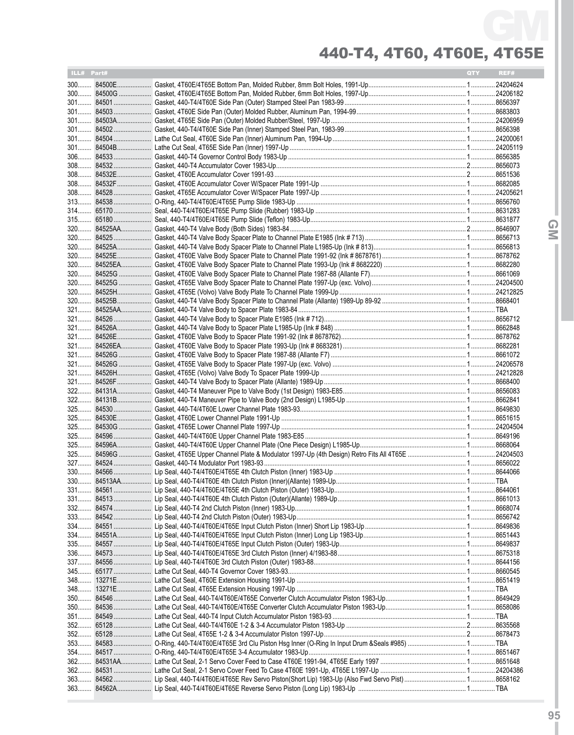| ILL# Part# |                                                                                                       | QTY <b>O</b> | REF# |
|------------|-------------------------------------------------------------------------------------------------------|--------------|------|
|            |                                                                                                       |              |      |
|            |                                                                                                       |              |      |
|            |                                                                                                       |              |      |
|            |                                                                                                       |              |      |
|            |                                                                                                       |              |      |
|            |                                                                                                       |              |      |
|            |                                                                                                       |              |      |
|            |                                                                                                       |              |      |
|            |                                                                                                       |              |      |
|            |                                                                                                       |              |      |
|            |                                                                                                       |              |      |
|            |                                                                                                       |              |      |
|            |                                                                                                       |              |      |
|            |                                                                                                       |              |      |
|            |                                                                                                       |              |      |
|            |                                                                                                       |              |      |
|            |                                                                                                       |              |      |
|            |                                                                                                       |              |      |
|            |                                                                                                       |              |      |
|            |                                                                                                       |              |      |
|            |                                                                                                       |              |      |
|            |                                                                                                       |              |      |
|            |                                                                                                       |              |      |
|            |                                                                                                       |              |      |
|            |                                                                                                       |              |      |
|            |                                                                                                       |              |      |
|            |                                                                                                       |              |      |
|            |                                                                                                       |              |      |
|            |                                                                                                       |              |      |
|            |                                                                                                       |              |      |
|            |                                                                                                       |              |      |
|            |                                                                                                       |              |      |
|            |                                                                                                       |              |      |
|            |                                                                                                       |              |      |
|            |                                                                                                       |              |      |
|            |                                                                                                       |              |      |
|            |                                                                                                       |              |      |
|            |                                                                                                       |              |      |
|            |                                                                                                       |              |      |
|            |                                                                                                       |              |      |
|            |                                                                                                       |              |      |
|            |                                                                                                       |              |      |
|            |                                                                                                       |              |      |
|            |                                                                                                       |              |      |
|            |                                                                                                       |              |      |
|            |                                                                                                       |              |      |
|            |                                                                                                       |              |      |
|            |                                                                                                       |              |      |
|            |                                                                                                       |              |      |
|            |                                                                                                       |              |      |
|            |                                                                                                       |              |      |
|            |                                                                                                       |              |      |
|            |                                                                                                       |              |      |
|            |                                                                                                       |              |      |
|            |                                                                                                       |              |      |
|            |                                                                                                       |              |      |
|            |                                                                                                       |              |      |
|            |                                                                                                       |              |      |
|            |                                                                                                       |              |      |
|            | 353 84583 O-Ring, 440-T4/4T60E/4T65E 3rd Clu Piston Hsg Inner (O-Ring In Input Drum &Seals #985)  TBA |              |      |
|            |                                                                                                       |              |      |
|            |                                                                                                       |              |      |
|            |                                                                                                       |              |      |
|            |                                                                                                       |              |      |
|            |                                                                                                       |              |      |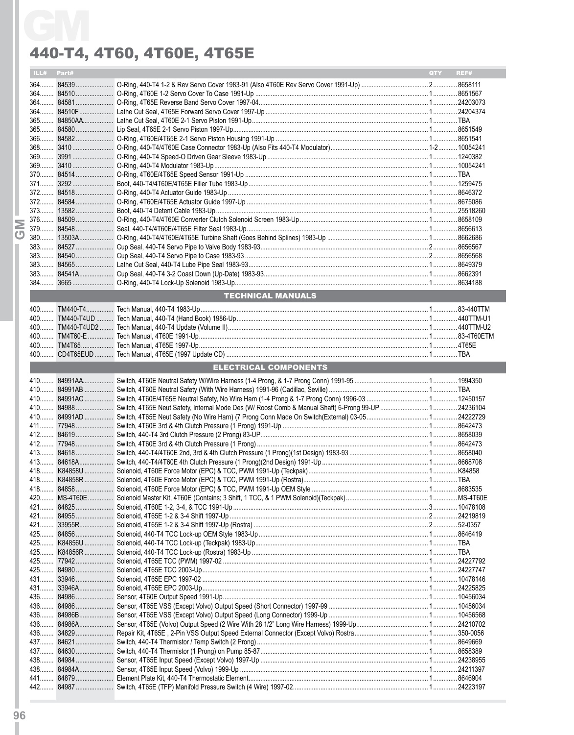| ILL# Part# |                              | QTY REF# |  |
|------------|------------------------------|----------|--|
|            |                              |          |  |
|            |                              |          |  |
|            |                              |          |  |
|            |                              |          |  |
|            |                              |          |  |
|            |                              |          |  |
|            |                              |          |  |
|            |                              |          |  |
|            |                              |          |  |
|            |                              |          |  |
|            |                              |          |  |
|            |                              |          |  |
|            |                              |          |  |
|            |                              |          |  |
|            |                              |          |  |
|            |                              |          |  |
|            |                              |          |  |
|            |                              |          |  |
|            |                              |          |  |
|            |                              |          |  |
|            |                              |          |  |
|            | <b>TECHNICAL MANUALS</b>     |          |  |
|            |                              |          |  |
|            |                              |          |  |
|            |                              |          |  |
|            |                              |          |  |
|            |                              |          |  |
|            |                              |          |  |
|            | <b>ELECTRICAL COMPONENTS</b> |          |  |
|            |                              |          |  |
|            |                              |          |  |
|            |                              |          |  |
|            |                              |          |  |
|            |                              |          |  |
|            |                              |          |  |
|            |                              |          |  |
|            |                              |          |  |
|            |                              |          |  |
|            |                              |          |  |
|            |                              |          |  |
|            |                              |          |  |
|            |                              |          |  |
|            |                              |          |  |
|            |                              |          |  |
|            |                              |          |  |
|            |                              |          |  |
|            |                              |          |  |
|            |                              |          |  |
|            |                              |          |  |
|            |                              |          |  |
|            |                              |          |  |
|            |                              |          |  |
|            |                              |          |  |
|            |                              |          |  |
|            |                              |          |  |
|            |                              |          |  |
|            |                              |          |  |
|            |                              |          |  |
|            |                              |          |  |
|            |                              |          |  |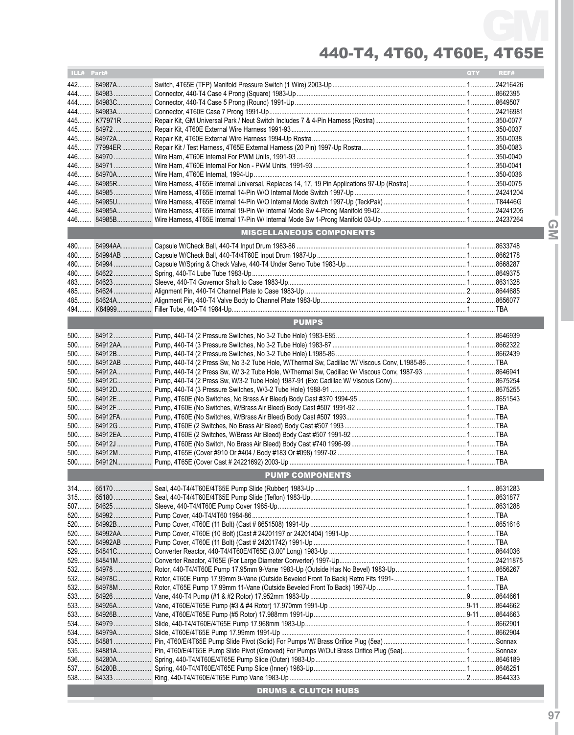| ILL# Part# |                                 | QTY | REF# |
|------------|---------------------------------|-----|------|
|            |                                 |     |      |
|            |                                 |     |      |
|            |                                 |     |      |
|            |                                 |     |      |
|            |                                 |     |      |
|            |                                 |     |      |
|            |                                 |     |      |
|            |                                 |     |      |
|            |                                 |     |      |
|            |                                 |     |      |
|            |                                 |     |      |
|            |                                 |     |      |
|            |                                 |     |      |
|            |                                 |     |      |
|            |                                 |     |      |
|            | <b>MISCELLANEOUS COMPONENTS</b> |     |      |
|            |                                 |     |      |
|            |                                 |     |      |
|            |                                 |     |      |
|            |                                 |     |      |
|            |                                 |     |      |
|            |                                 |     |      |
|            |                                 |     |      |
|            |                                 |     |      |
|            | <b>PUMPS</b>                    |     |      |
|            |                                 |     |      |
|            |                                 |     |      |
|            |                                 |     |      |
|            |                                 |     |      |
|            |                                 |     |      |
|            |                                 |     |      |
|            |                                 |     |      |
|            |                                 |     |      |
|            |                                 |     |      |
|            |                                 |     |      |
|            |                                 |     |      |
|            |                                 |     |      |
|            |                                 |     |      |
|            |                                 |     |      |
|            |                                 |     |      |
|            | <b>PUMP COMPONENTS</b>          |     |      |
|            |                                 |     |      |
|            |                                 |     |      |
|            |                                 |     |      |
|            |                                 |     |      |
|            |                                 |     |      |
|            |                                 |     |      |
|            |                                 |     |      |
|            |                                 |     |      |
|            |                                 |     |      |
|            |                                 |     |      |
|            |                                 |     |      |
|            |                                 |     |      |
|            |                                 |     |      |
|            |                                 |     |      |
|            |                                 |     |      |
|            |                                 |     |      |
| 535        |                                 |     |      |
|            |                                 |     |      |
|            |                                 |     |      |
|            |                                 |     |      |
|            |                                 |     |      |
|            | <b>DRUMS &amp; CLUTCH HUBS</b>  |     |      |
|            |                                 |     |      |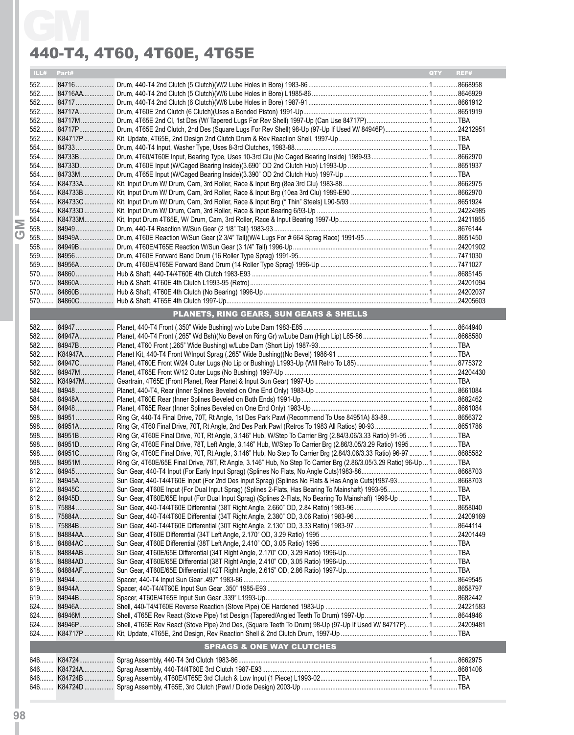| ILL# Part# |                                                                                                                                    | <b>OTY</b><br>REF# |
|------------|------------------------------------------------------------------------------------------------------------------------------------|--------------------|
|            |                                                                                                                                    |                    |
|            |                                                                                                                                    |                    |
|            |                                                                                                                                    |                    |
|            |                                                                                                                                    |                    |
|            |                                                                                                                                    |                    |
|            |                                                                                                                                    |                    |
|            |                                                                                                                                    |                    |
|            |                                                                                                                                    |                    |
|            |                                                                                                                                    |                    |
|            |                                                                                                                                    |                    |
|            |                                                                                                                                    |                    |
|            |                                                                                                                                    |                    |
|            |                                                                                                                                    |                    |
|            |                                                                                                                                    |                    |
|            |                                                                                                                                    |                    |
|            |                                                                                                                                    |                    |
|            |                                                                                                                                    |                    |
|            |                                                                                                                                    |                    |
|            |                                                                                                                                    |                    |
|            |                                                                                                                                    |                    |
|            |                                                                                                                                    |                    |
|            |                                                                                                                                    |                    |
|            |                                                                                                                                    |                    |
|            |                                                                                                                                    |                    |
|            |                                                                                                                                    |                    |
|            | <b>PLANETS, RING GEARS, SUN GEARS &amp; SHELLS</b>                                                                                 |                    |
|            |                                                                                                                                    |                    |
|            |                                                                                                                                    |                    |
|            |                                                                                                                                    |                    |
|            |                                                                                                                                    |                    |
|            |                                                                                                                                    |                    |
|            |                                                                                                                                    |                    |
|            |                                                                                                                                    |                    |
|            |                                                                                                                                    |                    |
|            |                                                                                                                                    |                    |
|            |                                                                                                                                    |                    |
|            |                                                                                                                                    |                    |
|            |                                                                                                                                    |                    |
|            | 598 84951B Ring Gr, 4T60E Final Drive, 70T, Rt Angle, 3.146" Hub, W/Step To Carrier Brg (2.84/3.06/3.33 Ratio) 91-95  1 TBA        |                    |
|            | 598 84951D Ring Gr, 4T60E Final Drive, 78T, Left Angle, 3.146" Hub, W/Step To Carrier Brg (2.86/3.05/3.29 Ratio) 1995 1 TBA        |                    |
|            | 598 84951C Ring Gr, 4T60E Final Drive, 70T, Rt Angle, 3.146" Hub, No Step To Carrier Brg (2.84/3.06/3.33 Ratio) 96-97  18685582    |                    |
|            | 598 84951M  Ring Gr, 4T60E/65E Final Drive, 78T, Rt Angle, 3.146" Hub, No Step To Carrier Brg (2.86/3.05/3.29 Ratio) 96-Up  1  TBA |                    |
|            |                                                                                                                                    |                    |
|            | 612 84945A Sun Gear, 440-T4/4T60E Input (For 2nd Des Input Sprag) (Splines No Flats & Has Angle Cuts) 1987-93 1 8668703            |                    |
|            |                                                                                                                                    |                    |
|            | 612 84945D Sun Gear, 4T60E/65E Input (For Dual Input Sprag) (Splines 2-Flats, No Bearing To Mainshaft) 1996-Up  1 TBA              |                    |
|            |                                                                                                                                    |                    |
|            |                                                                                                                                    |                    |
|            |                                                                                                                                    |                    |
|            |                                                                                                                                    |                    |
|            |                                                                                                                                    |                    |
|            |                                                                                                                                    |                    |
|            |                                                                                                                                    |                    |
|            |                                                                                                                                    |                    |
|            |                                                                                                                                    |                    |
|            |                                                                                                                                    |                    |
|            |                                                                                                                                    |                    |
|            |                                                                                                                                    |                    |
|            |                                                                                                                                    |                    |
|            | 624 84946P Shell, 4T65E Rev React (Stove Pipe) 2nd Des, (Square Teeth To Drum) 98-Up (97-Up If Used W/ 84717P) 1 24209481          |                    |
|            |                                                                                                                                    |                    |
|            | <b>SPRAGS &amp; ONE WAY CLUTCHES</b>                                                                                               |                    |
|            |                                                                                                                                    |                    |
|            |                                                                                                                                    |                    |
|            |                                                                                                                                    |                    |
|            |                                                                                                                                    |                    |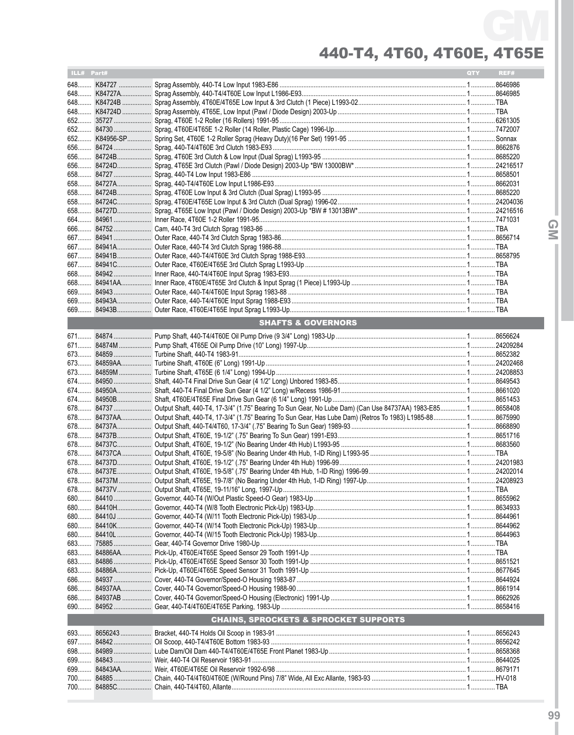| ILL# Part# |                                                                                                                         | QTY <b>A</b> | REF# |
|------------|-------------------------------------------------------------------------------------------------------------------------|--------------|------|
|            |                                                                                                                         |              |      |
|            |                                                                                                                         |              |      |
|            |                                                                                                                         |              |      |
|            |                                                                                                                         |              |      |
|            |                                                                                                                         |              |      |
|            |                                                                                                                         |              |      |
|            |                                                                                                                         |              |      |
|            |                                                                                                                         |              |      |
|            |                                                                                                                         |              |      |
|            |                                                                                                                         |              |      |
|            |                                                                                                                         |              |      |
|            |                                                                                                                         |              |      |
|            |                                                                                                                         |              |      |
|            |                                                                                                                         |              |      |
|            |                                                                                                                         |              |      |
|            |                                                                                                                         |              |      |
|            |                                                                                                                         |              |      |
|            |                                                                                                                         |              |      |
|            |                                                                                                                         |              |      |
|            |                                                                                                                         |              |      |
|            |                                                                                                                         |              |      |
|            |                                                                                                                         |              |      |
|            |                                                                                                                         |              |      |
|            |                                                                                                                         |              |      |
|            |                                                                                                                         |              |      |
|            |                                                                                                                         |              |      |
|            | <b>SHAFTS &amp; GOVERNORS</b>                                                                                           |              |      |
|            |                                                                                                                         |              |      |
|            |                                                                                                                         |              |      |
|            |                                                                                                                         |              |      |
|            |                                                                                                                         |              |      |
|            |                                                                                                                         |              |      |
|            |                                                                                                                         |              |      |
|            |                                                                                                                         |              |      |
|            |                                                                                                                         |              |      |
|            | 678 84737 Output Shaft, 440-T4, 17-3/4" (1.75" Bearing To Sun Gear, No Lube Dam) (Can Use 84737AA) 1983-E85 1 8658408   |              |      |
|            | 678 84737AA Output Shaft, 440-T4, 17-3/4" (1.75" Bearing To Sun Gear, Has Lube Dam) (Retros To 1983) L1985-88 1 8675990 |              |      |
|            |                                                                                                                         |              |      |
|            |                                                                                                                         |              |      |
|            |                                                                                                                         |              |      |
|            |                                                                                                                         |              |      |
|            |                                                                                                                         |              |      |
|            |                                                                                                                         |              |      |
|            |                                                                                                                         |              |      |
|            |                                                                                                                         |              |      |
|            |                                                                                                                         |              |      |
|            |                                                                                                                         |              |      |
|            |                                                                                                                         |              |      |
|            |                                                                                                                         |              |      |
|            |                                                                                                                         |              |      |
|            |                                                                                                                         |              |      |
|            |                                                                                                                         |              |      |
|            |                                                                                                                         |              |      |
|            |                                                                                                                         |              |      |
|            |                                                                                                                         |              |      |
|            |                                                                                                                         |              |      |
|            |                                                                                                                         |              |      |
|            |                                                                                                                         |              |      |
|            | <b>CHAINS, SPROCKETS &amp; SPROCKET SUPPORTS</b>                                                                        |              |      |
|            |                                                                                                                         |              |      |
|            |                                                                                                                         |              |      |
|            |                                                                                                                         |              |      |
|            |                                                                                                                         |              |      |
|            |                                                                                                                         |              |      |
|            |                                                                                                                         |              |      |
|            |                                                                                                                         |              |      |
|            |                                                                                                                         |              |      |

 $\overline{Q}$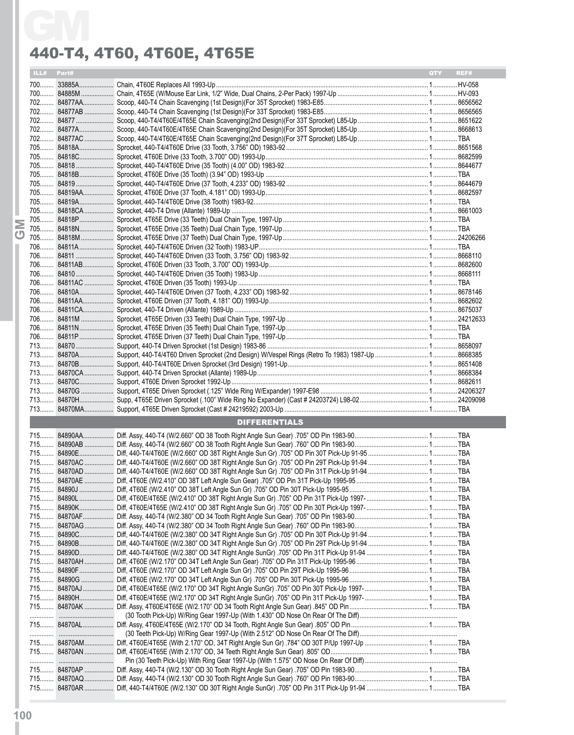| ILL# Part# |                      | REF#<br><b>OTY</b> |
|------------|----------------------|--------------------|
|            |                      |                    |
|            |                      |                    |
|            |                      |                    |
|            |                      |                    |
|            |                      |                    |
|            |                      |                    |
|            |                      |                    |
|            |                      |                    |
|            |                      |                    |
|            |                      |                    |
|            |                      |                    |
|            |                      |                    |
|            |                      |                    |
|            |                      |                    |
|            |                      |                    |
|            |                      |                    |
|            |                      |                    |
|            |                      |                    |
|            |                      |                    |
|            |                      |                    |
|            |                      |                    |
|            |                      |                    |
|            |                      |                    |
|            |                      |                    |
|            |                      |                    |
|            |                      |                    |
|            |                      |                    |
|            |                      |                    |
|            |                      |                    |
|            |                      |                    |
|            |                      |                    |
|            |                      |                    |
|            |                      |                    |
|            |                      |                    |
|            |                      |                    |
|            |                      |                    |
|            | <b>DIFFERENTIALS</b> |                    |
|            |                      |                    |
|            |                      |                    |
|            |                      |                    |
|            |                      |                    |
|            |                      |                    |
|            |                      |                    |
|            |                      |                    |
|            |                      |                    |
|            |                      |                    |
|            |                      |                    |
|            |                      |                    |
|            |                      |                    |
|            |                      |                    |
|            |                      |                    |
|            |                      |                    |
|            |                      |                    |
|            |                      |                    |
|            |                      |                    |
|            |                      |                    |
|            |                      |                    |
|            |                      |                    |
|            |                      |                    |
|            |                      |                    |
|            |                      |                    |
|            |                      |                    |
|            |                      |                    |
|            |                      |                    |
|            |                      |                    |
|            |                      |                    |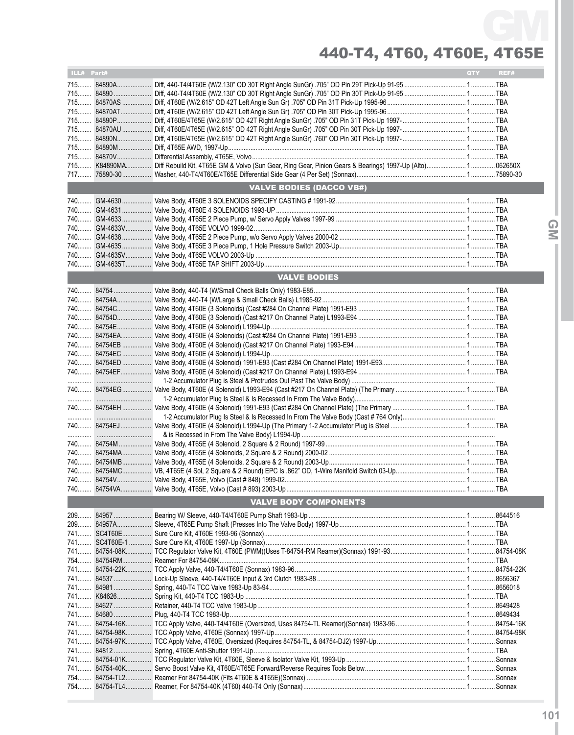440-T4, 4T60, 4T60E, 4T65E GM

| ILL# Part# |                                                                                                       | QTY <b>Q</b> | REF# |
|------------|-------------------------------------------------------------------------------------------------------|--------------|------|
|            | 715 84890A Diff, 440-T4/4T60E (W/2.130" OD 30T Right Angle SunGr) .705" OD Pin 29T Pick-Up 91-95  TBA |              |      |
|            |                                                                                                       |              |      |
|            |                                                                                                       |              |      |
|            |                                                                                                       |              |      |
|            |                                                                                                       |              |      |
|            |                                                                                                       |              |      |
|            |                                                                                                       |              |      |
|            |                                                                                                       |              |      |
|            |                                                                                                       |              |      |
|            |                                                                                                       |              |      |
|            |                                                                                                       |              |      |
|            | <b>VALVE BODIES (DACCO VB#)</b>                                                                       |              |      |
|            |                                                                                                       |              |      |
|            |                                                                                                       |              |      |
|            |                                                                                                       |              |      |
| 740        |                                                                                                       |              |      |
| 740        |                                                                                                       |              |      |
| 740        |                                                                                                       |              |      |
|            |                                                                                                       |              |      |
|            |                                                                                                       |              |      |
|            | <b>VALVE BODIES</b>                                                                                   |              |      |
|            |                                                                                                       |              |      |
|            |                                                                                                       |              |      |
|            |                                                                                                       |              |      |
|            |                                                                                                       |              |      |
|            |                                                                                                       |              |      |
|            |                                                                                                       |              |      |
|            |                                                                                                       |              |      |
|            |                                                                                                       |              |      |
|            |                                                                                                       |              |      |
|            |                                                                                                       |              |      |
|            |                                                                                                       |              |      |
|            |                                                                                                       |              |      |
|            |                                                                                                       |              |      |
|            |                                                                                                       |              |      |
|            |                                                                                                       |              |      |
|            |                                                                                                       |              |      |
|            |                                                                                                       |              |      |
|            |                                                                                                       |              |      |
|            |                                                                                                       |              |      |
|            |                                                                                                       |              |      |
|            |                                                                                                       |              |      |
|            |                                                                                                       |              |      |
|            | <b>VALVE BODY COMPONENTS</b>                                                                          |              |      |
|            |                                                                                                       |              |      |
|            |                                                                                                       |              |      |
|            |                                                                                                       |              |      |
|            |                                                                                                       |              |      |
|            |                                                                                                       |              |      |
|            |                                                                                                       |              |      |
|            |                                                                                                       |              |      |
|            |                                                                                                       |              |      |
|            |                                                                                                       |              |      |
|            |                                                                                                       |              |      |
|            |                                                                                                       |              |      |
|            |                                                                                                       |              |      |
|            |                                                                                                       |              |      |
|            |                                                                                                       |              |      |
|            |                                                                                                       |              |      |
|            |                                                                                                       |              |      |
|            |                                                                                                       |              |      |
|            |                                                                                                       |              |      |
|            |                                                                                                       |              |      |
|            |                                                                                                       |              |      |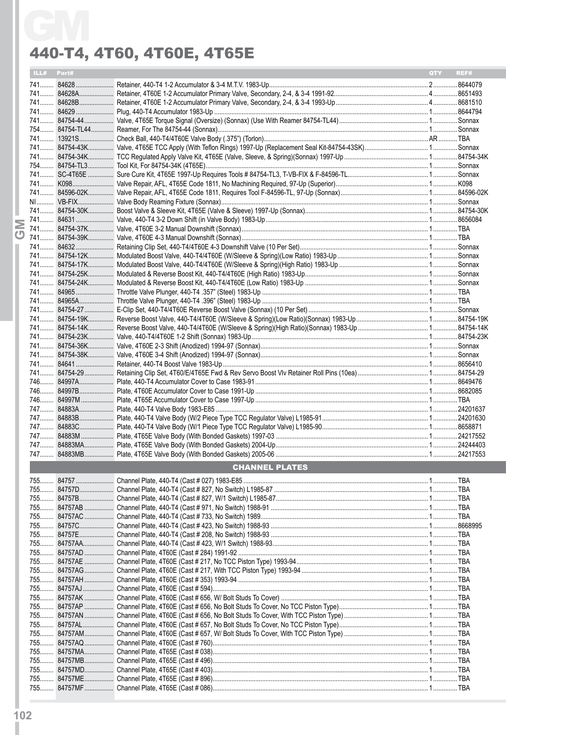| ILL# Part# |                       | <b>QTY</b> | REF# |
|------------|-----------------------|------------|------|
|            |                       |            |      |
|            |                       |            |      |
|            |                       |            |      |
|            |                       |            |      |
|            |                       |            |      |
|            |                       |            |      |
|            |                       |            |      |
|            |                       |            |      |
|            |                       |            |      |
|            |                       |            |      |
|            |                       |            |      |
|            |                       |            |      |
|            |                       |            |      |
|            |                       |            |      |
|            |                       |            |      |
|            |                       |            |      |
|            |                       |            |      |
|            |                       |            |      |
|            |                       |            |      |
|            |                       |            |      |
|            |                       |            |      |
|            |                       |            |      |
|            |                       |            |      |
|            |                       |            |      |
|            |                       |            |      |
|            |                       |            |      |
|            |                       |            |      |
|            |                       |            |      |
|            |                       |            |      |
|            |                       |            |      |
|            |                       |            |      |
|            |                       |            |      |
|            |                       |            |      |
|            |                       |            |      |
|            |                       |            |      |
|            |                       |            |      |
|            |                       |            |      |
|            |                       |            |      |
|            |                       |            |      |
|            |                       |            |      |
|            |                       |            |      |
|            | <b>CHANNEL PLATES</b> |            |      |
|            |                       |            |      |
|            |                       |            |      |
|            |                       |            |      |
|            |                       |            |      |
|            |                       |            |      |
|            |                       |            |      |
|            |                       |            |      |
|            |                       |            |      |
|            |                       |            |      |
|            |                       |            |      |
|            |                       |            |      |
|            |                       |            |      |
|            |                       |            |      |
|            |                       |            |      |
|            |                       |            |      |
|            |                       |            |      |
|            |                       |            |      |
|            |                       |            |      |
|            |                       |            |      |
|            |                       |            |      |
|            |                       |            |      |
|            |                       |            |      |
|            |                       |            |      |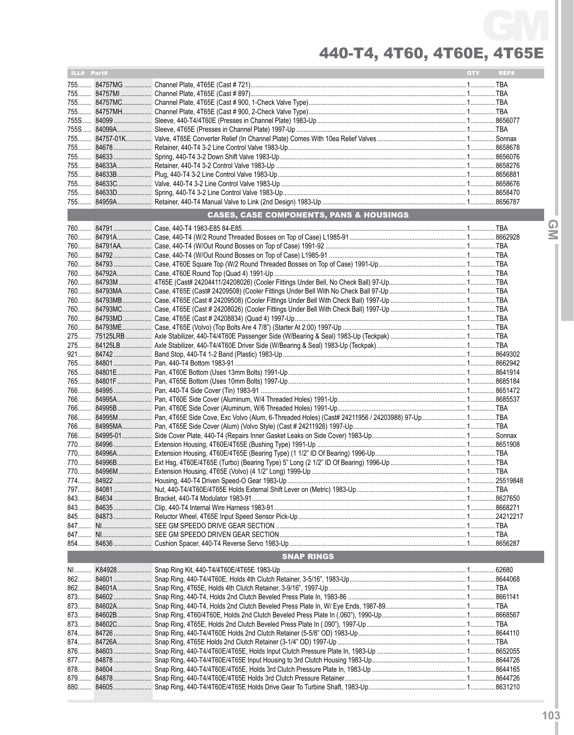| ILL# Part# |                                                    | <b>QTY</b> | REF# |
|------------|----------------------------------------------------|------------|------|
|            |                                                    |            |      |
|            |                                                    |            |      |
|            |                                                    |            |      |
|            |                                                    |            |      |
|            |                                                    |            |      |
|            |                                                    |            |      |
|            |                                                    |            |      |
|            |                                                    |            |      |
|            |                                                    |            |      |
|            |                                                    |            |      |
|            |                                                    |            |      |
|            |                                                    |            |      |
|            |                                                    |            |      |
|            |                                                    |            |      |
|            | <b>CASES, CASE COMPONENTS, PANS &amp; HOUSINGS</b> |            |      |
|            |                                                    |            |      |
|            |                                                    |            |      |
|            |                                                    |            |      |
|            |                                                    |            |      |
|            |                                                    |            |      |
|            |                                                    |            |      |
|            |                                                    |            |      |
|            |                                                    |            |      |
|            |                                                    |            |      |
|            |                                                    |            |      |
|            |                                                    |            |      |
|            |                                                    |            |      |
|            |                                                    |            |      |
|            |                                                    |            |      |
|            |                                                    |            |      |
|            |                                                    |            |      |
|            |                                                    |            |      |
|            |                                                    |            |      |
|            |                                                    |            |      |
|            |                                                    |            |      |
|            |                                                    |            |      |
|            |                                                    |            |      |
|            |                                                    |            |      |
|            |                                                    |            |      |
|            |                                                    |            |      |
|            |                                                    |            |      |
|            |                                                    |            |      |
|            |                                                    |            |      |
|            |                                                    |            |      |
|            |                                                    |            |      |
|            |                                                    |            |      |
|            |                                                    |            |      |
|            |                                                    |            |      |
|            |                                                    |            |      |
|            |                                                    |            |      |
|            | <b>SNAP RINGS</b>                                  |            |      |
|            |                                                    |            |      |
|            |                                                    |            |      |
|            |                                                    |            |      |
|            |                                                    |            |      |
|            |                                                    |            |      |
|            |                                                    |            |      |
| 873        |                                                    |            |      |
|            |                                                    |            |      |
|            |                                                    |            |      |
|            |                                                    |            |      |
| 878        |                                                    |            |      |
|            |                                                    |            |      |
| 880        |                                                    |            |      |
|            |                                                    |            |      |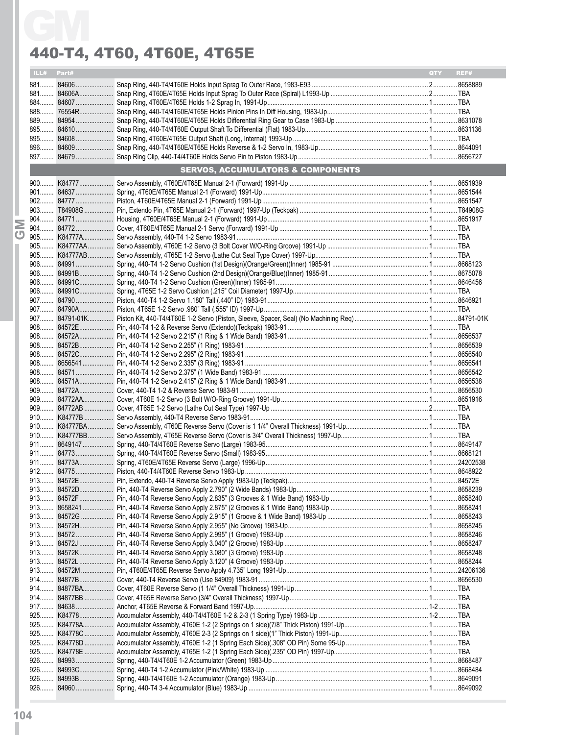| ILL# Part# |                                              | <b>OTY</b> | REF# |
|------------|----------------------------------------------|------------|------|
|            |                                              |            |      |
|            |                                              |            |      |
|            |                                              |            |      |
|            |                                              |            |      |
|            |                                              |            |      |
|            |                                              |            |      |
|            |                                              |            |      |
|            |                                              |            |      |
|            | <b>SERVOS, ACCUMULATORS &amp; COMPONENTS</b> |            |      |
|            |                                              |            |      |
|            |                                              |            |      |
|            |                                              |            |      |
|            |                                              |            |      |
|            |                                              |            |      |
|            |                                              |            |      |
|            |                                              |            |      |
|            |                                              |            |      |
|            |                                              |            |      |
|            |                                              |            |      |
|            |                                              |            |      |
|            |                                              |            |      |
|            |                                              |            |      |
|            |                                              |            |      |
|            |                                              |            |      |
|            |                                              |            |      |
|            |                                              |            |      |
|            |                                              |            |      |
|            |                                              |            |      |
|            |                                              |            |      |
|            |                                              |            |      |
|            |                                              |            |      |
|            |                                              |            |      |
|            |                                              |            |      |
|            |                                              |            |      |
|            |                                              |            |      |
|            |                                              |            |      |
|            |                                              |            |      |
|            |                                              |            |      |
|            |                                              |            |      |
|            |                                              |            |      |
|            |                                              |            |      |
|            |                                              |            |      |
|            |                                              |            |      |
|            |                                              |            |      |
|            |                                              |            |      |
|            |                                              |            |      |
|            |                                              |            |      |
|            |                                              |            |      |
|            |                                              |            |      |
|            |                                              |            |      |
|            |                                              |            |      |
|            |                                              |            |      |
|            |                                              |            |      |
|            |                                              |            |      |
|            |                                              |            |      |
|            |                                              |            |      |
|            |                                              |            |      |
|            |                                              |            |      |
|            |                                              |            |      |
|            |                                              |            |      |
|            |                                              |            |      |
|            |                                              |            |      |
|            |                                              |            |      |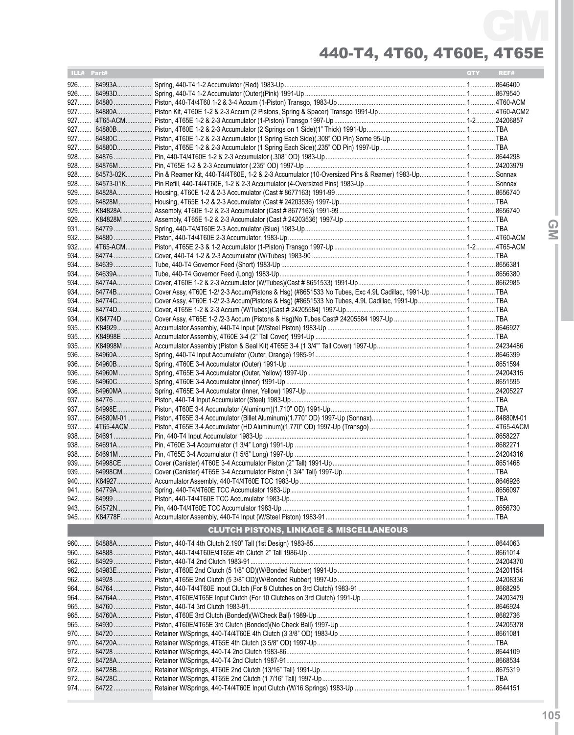| ILL# Part# |            |                                                    | <b>QTY</b> | REF# |
|------------|------------|----------------------------------------------------|------------|------|
|            |            |                                                    |            |      |
|            |            |                                                    |            |      |
|            |            |                                                    |            |      |
|            |            |                                                    |            |      |
|            |            |                                                    |            |      |
|            |            |                                                    |            |      |
|            |            |                                                    |            |      |
|            |            |                                                    |            |      |
|            |            |                                                    |            |      |
|            |            |                                                    |            |      |
|            |            |                                                    |            |      |
|            |            |                                                    |            |      |
|            |            |                                                    |            |      |
|            |            |                                                    |            |      |
|            |            |                                                    |            |      |
|            |            |                                                    |            |      |
|            |            |                                                    |            |      |
|            |            |                                                    |            |      |
|            |            |                                                    |            |      |
|            |            |                                                    |            |      |
|            |            |                                                    |            |      |
|            |            |                                                    |            |      |
|            |            |                                                    |            |      |
|            |            |                                                    |            |      |
|            |            |                                                    |            |      |
|            |            |                                                    |            |      |
|            |            |                                                    |            |      |
|            |            |                                                    |            |      |
|            |            |                                                    |            |      |
|            |            |                                                    |            |      |
|            |            |                                                    |            |      |
|            |            |                                                    |            |      |
|            |            |                                                    |            |      |
|            |            |                                                    |            |      |
|            |            |                                                    |            |      |
|            |            |                                                    |            |      |
|            |            |                                                    |            |      |
|            |            |                                                    |            |      |
|            |            |                                                    |            |      |
|            |            |                                                    |            |      |
|            |            |                                                    |            |      |
|            |            |                                                    |            |      |
|            |            |                                                    |            |      |
|            |            |                                                    |            |      |
|            |            |                                                    |            |      |
|            |            |                                                    |            |      |
|            |            |                                                    |            |      |
|            |            | <b>CLUTCH PISTONS, LINKAGE &amp; MISCELLANEOUS</b> |            |      |
|            | 960 84888A |                                                    |            |      |
|            | 960 84888  |                                                    |            |      |
|            |            |                                                    |            |      |
|            |            |                                                    |            |      |
|            |            |                                                    |            |      |
|            |            |                                                    |            |      |
|            | 964 84764A |                                                    |            |      |
|            |            |                                                    |            |      |
|            |            |                                                    |            |      |
|            |            |                                                    |            |      |
|            |            |                                                    |            |      |
|            | 970 84720A |                                                    |            |      |
|            |            |                                                    |            |      |
|            |            |                                                    |            |      |
|            |            |                                                    |            |      |
|            |            |                                                    |            |      |
|            |            |                                                    |            |      |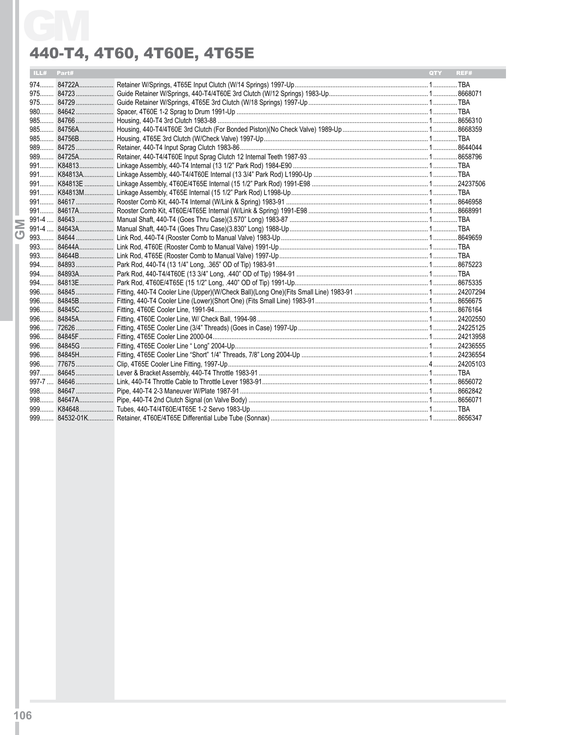|            | 440-T4, 4T60, 4T60E, 4T65E |     |      |
|------------|----------------------------|-----|------|
| ILL# Part# |                            | QTY | REF# |
|            |                            |     |      |
|            |                            |     |      |
|            |                            |     |      |
|            |                            |     |      |
|            |                            |     |      |
|            |                            |     |      |
|            |                            |     |      |
|            |                            |     |      |
|            |                            |     |      |
|            |                            |     |      |
|            |                            |     |      |
|            |                            |     |      |
|            |                            |     |      |
|            |                            |     |      |
|            |                            |     |      |
|            |                            |     |      |
|            |                            |     |      |
|            |                            |     |      |
|            |                            |     |      |
|            |                            |     |      |
|            |                            |     |      |
|            |                            |     |      |
|            |                            |     |      |
|            |                            |     |      |
|            |                            |     |      |
|            |                            |     |      |
|            |                            |     |      |
|            |                            |     |      |
|            |                            |     |      |
|            |                            |     |      |
|            |                            |     |      |
|            |                            |     |      |
|            |                            |     |      |
|            |                            |     |      |
|            |                            |     |      |
|            |                            |     |      |
|            |                            |     |      |
|            |                            |     |      |